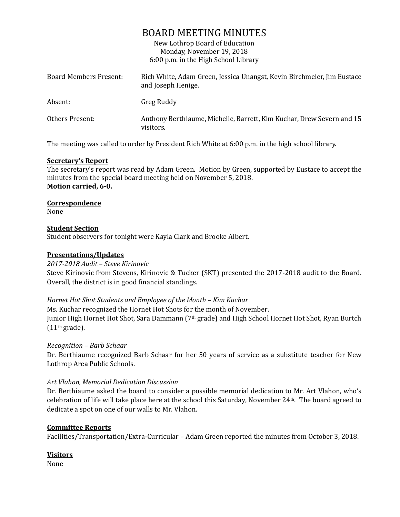# BOARD MEETING MINUTES

New Lothrop Board of Education Monday, November 19, 2018 6:00 p.m. in the High School Library

| Board Members Present: | Rich White, Adam Green, Jessica Unangst, Kevin Birchmeier, Jim Eustace<br>and Joseph Henige. |
|------------------------|----------------------------------------------------------------------------------------------|
| Absent:                | Greg Ruddy                                                                                   |
| Others Present:        | Anthony Berthiaume, Michelle, Barrett, Kim Kuchar, Drew Severn and 15<br>visitors.           |

The meeting was called to order by President Rich White at 6:00 p.m. in the high school library.

## **Secretary's Report**

The secretary's report was read by Adam Green. Motion by Green, supported by Eustace to accept the minutes from the special board meeting held on November 5, 2018. **Motion carried, 6-0.**

## **Correspondence**

None

## **Student Section**

Student observers for tonight were Kayla Clark and Brooke Albert.

## **Presentations/Updates**

#### *2017-2018 Audit – Steve Kirinovic*

Steve Kirinovic from Stevens, Kirinovic & Tucker (SKT) presented the 2017-2018 audit to the Board. Overall, the district is in good financial standings.

#### *Hornet Hot Shot Students and Employee of the Month – Kim Kuchar*

Ms. Kuchar recognized the Hornet Hot Shots for the month of November. Junior High Hornet Hot Shot, Sara Dammann (7th grade) and High School Hornet Hot Shot, Ryan Burtch  $(11<sup>th</sup> grade).$ 

#### *Recognition – Barb Schaar*

Dr. Berthiaume recognized Barb Schaar for her 50 years of service as a substitute teacher for New Lothrop Area Public Schools.

#### *Art Vlahon, Memorial Dedication Discussion*

Dr. Berthiaume asked the board to consider a possible memorial dedication to Mr. Art Vlahon, who's celebration of life will take place here at the school this Saturday, November 24th. The board agreed to dedicate a spot on one of our walls to Mr. Vlahon.

#### **Committee Reports**

Facilities/Transportation/Extra-Curricular – Adam Green reported the minutes from October 3, 2018.

## **Visitors**

None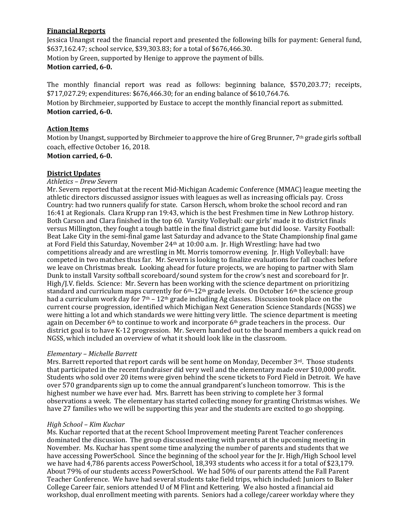## **Financial Reports**

Jessica Unangst read the financial report and presented the following bills for payment: General fund, \$637,162.47; school service, \$39,303.83; for a total of \$676,466.30. Motion by Green, supported by Henige to approve the payment of bills. **Motion carried, 6-0.**

The monthly financial report was read as follows: beginning balance, \$570,203.77; receipts, \$717,027.29; expenditures: \$676,466.30; for an ending balance of \$610,764.76.

Motion by Birchmeier, supported by Eustace to accept the monthly financial report as submitted. **Motion carried, 6-0.**

#### **Action Items**

Motion by Unangst, supported by Birchmeier to approve the hire of Greg Brunner, 7<sup>th</sup> grade girls softball coach, effective October 16, 2018.

#### **Motion carried, 6-0.**

#### **District Updates**

*Athletics – Drew Severn*

Mr. Severn reported that at the recent Mid-Michigan Academic Conference (MMAC) league meeting the athletic directors discussed assignor issues with leagues as well as increasing officials pay. Cross Country: had two runners qualify for state. Carson Hersch, whom broke the school record and ran 16:41 at Regionals. Clara Krupp ran 19:43, which is the best Freshmen time in New Lothrop history. Both Carson and Clara finished in the top 60. Varsity Volleyball: our girls' made it to district finals versus Millington, they fought a tough battle in the final district game but did loose. Varsity Football: Beat Lake City in the semi-final game last Saturday and advance to the State Championship final game at Ford Field this Saturday, November 24th at 10:00 a.m. Jr. High Wrestling: have had two competitions already and are wrestling in Mt. Morris tomorrow evening. Jr. High Volleyball: have competed in two matches thus far. Mr. Severn is looking to finalize evaluations for fall coaches before we leave on Christmas break. Looking ahead for future projects, we are hoping to partner with Slam Dunk to install Varsity softball scoreboard/sound system for the crow's nest and scoreboard for Jr. High/J.V. fields. Science: Mr. Severn has been working with the science department on prioritizing standard and curriculum maps currently for 6<sup>th</sup>-12<sup>th</sup> grade levels. On October 16<sup>th</sup> the science group had a curriculum work day for  $7<sup>th</sup> - 12<sup>th</sup>$  grade including Ag classes. Discussion took place on the current course progression, identified which Michigan Next Generation Science Standards (NGSS) we were hitting a lot and which standards we were hitting very little. The science department is meeting again on December 6<sup>th</sup> to continue to work and incorporate 6<sup>th</sup> grade teachers in the process. Our district goal is to have K-12 progression. Mr. Severn handed out to the board members a quick read on NGSS, which included an overview of what it should look like in the classroom.

#### *Elementary – Michelle Barrett*

Mrs. Barrett reported that report cards will be sent home on Monday, December  $3<sup>rd</sup>$ . Those students that participated in the recent fundraiser did very well and the elementary made over \$10,000 profit. Students who sold over 20 items were given behind the scene tickets to Ford Field in Detroit. We have over 570 grandparents sign up to come the annual grandparent's luncheon tomorrow. This is the highest number we have ever had. Mrs. Barrett has been striving to complete her 3 formal observations a week. The elementary has started collecting money for granting Christmas wishes. We have 27 families who we will be supporting this year and the students are excited to go shopping.

#### *High School – Kim Kuchar*

Ms. Kuchar reported that at the recent School Improvement meeting Parent Teacher conferences dominated the discussion. The group discussed meeting with parents at the upcoming meeting in November. Ms. Kuchar has spent some time analyzing the number of parents and students that we have accessing PowerSchool. Since the beginning of the school year for the Jr. High/High School level we have had 4,786 parents access PowerSchool, 18,393 students who access it for a total of \$23,179. About 79% of our students access PowerSchool. We had 50% of our parents attend the Fall Parent Teacher Conference. We have had several students take field trips, which included: Juniors to Baker College Career fair, seniors attended U of M Flint and Kettering. We also hosted a financial aid workshop, dual enrollment meeting with parents. Seniors had a college/career workday where they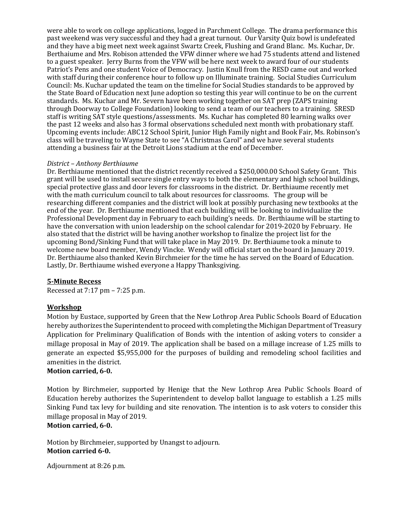were able to work on college applications, logged in Parchment College. The drama performance this past weekend was very successful and they had a great turnout. Our Varsity Quiz bowl is undefeated and they have a big meet next week against Swartz Creek, Flushing and Grand Blanc. Ms. Kuchar, Dr. Berthaiume and Mrs. Robison attended the VFW dinner where we had 75 students attend and listened to a guest speaker. Jerry Burns from the VFW will be here next week to award four of our students Patriot's Pens and one student Voice of Democracy. Justin Knull from the RESD came out and worked with staff during their conference hour to follow up on Illuminate training. Social Studies Curriculum Council: Ms. Kuchar updated the team on the timeline for Social Studies standards to be approved by the State Board of Education next June adoption so testing this year will continue to be on the current standards. Ms. Kuchar and Mr. Severn have been working together on SAT prep (ZAPS training through Doorway to College Foundation) looking to send a team of our teachers to a training. SRESD staff is writing SAT style questions/assessments. Ms. Kuchar has completed 80 learning walks over the past 12 weeks and also has 3 formal observations scheduled next month with probationary staff. Upcoming events include: ABC12 School Spirit, Junior High Family night and Book Fair, Ms. Robinson's class will be traveling to Wayne State to see "A Christmas Carol" and we have several students attending a business fair at the Detroit Lions stadium at the end of December.

## *District – Anthony Berthiaume*

Dr. Berthiaume mentioned that the district recently received a \$250,000.00 School Safety Grant. This grant will be used to install secure single entry ways to both the elementary and high school buildings, special protective glass and door levers for classrooms in the district. Dr. Berthiaume recently met with the math curriculum council to talk about resources for classrooms. The group will be researching different companies and the district will look at possibly purchasing new textbooks at the end of the year. Dr. Berthiaume mentioned that each building will be looking to individualize the Professional Development day in February to each building's needs. Dr. Berthiaume will be starting to have the conversation with union leadership on the school calendar for 2019-2020 by February. He also stated that the district will be having another workshop to finalize the project list for the upcoming Bond/Sinking Fund that will take place in May 2019. Dr. Berthiaume took a minute to welcome new board member, Wendy Vincke. Wendy will official start on the board in January 2019. Dr. Berthiaume also thanked Kevin Birchmeier for the time he has served on the Board of Education. Lastly, Dr. Berthiaume wished everyone a Happy Thanksgiving.

## **5-Minute Recess**

Recessed at 7:17 pm – 7:25 p.m.

## **Workshop**

Motion by Eustace, supported by Green that the New Lothrop Area Public Schools Board of Education hereby authorizes the Superintendent to proceed with completing the Michigan Department of Treasury Application for Preliminary Qualification of Bonds with the intention of asking voters to consider a millage proposal in May of 2019. The application shall be based on a millage increase of 1.25 mills to generate an expected \$5,955,000 for the purposes of building and remodeling school facilities and amenities in the district.

## **Motion carried, 6-0.**

Motion by Birchmeier, supported by Henige that the New Lothrop Area Public Schools Board of Education hereby authorizes the Superintendent to develop ballot language to establish a 1.25 mills Sinking Fund tax levy for building and site renovation. The intention is to ask voters to consider this millage proposal in May of 2019.

## **Motion carried, 6-0.**

Motion by Birchmeier, supported by Unangst to adjourn. **Motion carried 6-0.**

Adjournment at 8:26 p.m.